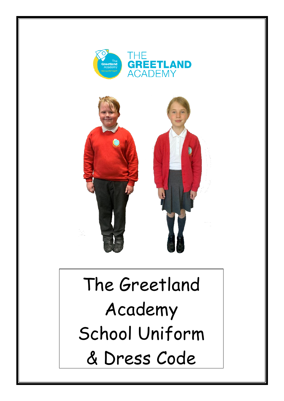



## The Greetland Academy School Uniform & Dress Code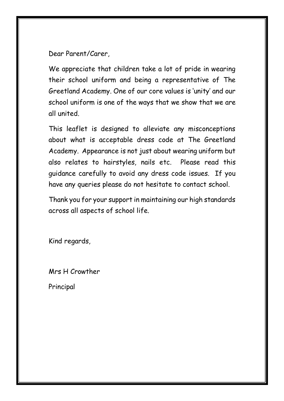Dear Parent/Carer,

We appreciate that children take a lot of pride in wearing their school uniform and being a representative of The Greetland Academy. One of our core values is 'unity' and our school uniform is one of the ways that we show that we are all united.

This leaflet is designed to alleviate any misconceptions about what is acceptable dress code at The Greetland Academy. Appearance is not just about wearing uniform but also relates to hairstyles, nails etc. Please read this guidance carefully to avoid any dress code issues. If you have any queries please do not hesitate to contact school.

Thank you for your support in maintaining our high standards across all aspects of school life.

Kind regards,

Mrs H Crowther

Principal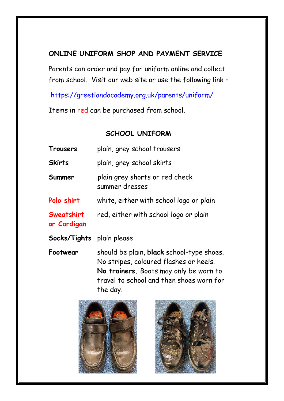## **ONLINE UNIFORM SHOP AND PAYMENT SERVICE**

Parents can order and pay for uniform online and collect from school. Visit our web site or use the following link –

<https://greetlandacademy.org.uk/parents/uniform/>

Items in red can be purchased from school.

## **SCHOOL UNIFORM**

| Trousers                  | plain, grey school trousers                                                                                                                                                           |
|---------------------------|---------------------------------------------------------------------------------------------------------------------------------------------------------------------------------------|
| Skirts                    | plain, grey school skirts                                                                                                                                                             |
| Summer                    | plain grey shorts or red check<br>summer dresses                                                                                                                                      |
| Polo shirt                | white, either with school logo or plain                                                                                                                                               |
| Sweatshirt<br>or Cardigan | red, either with school logo or plain                                                                                                                                                 |
| Socks/Tights              | plain please                                                                                                                                                                          |
| Footwear                  | should be plain, black school-type shoes.<br>No stripes, coloured flashes or heels.<br>No trainers. Boots may only be worn to<br>travel to school and then shoes worn for<br>the day. |